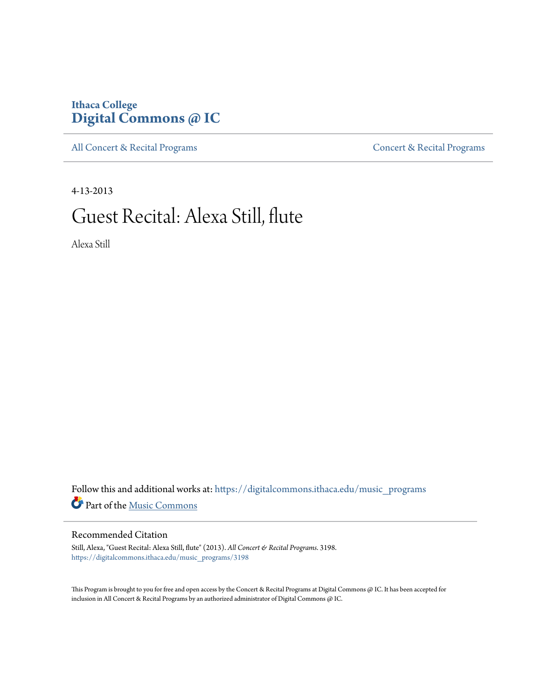# **Ithaca College [Digital Commons @ IC](https://digitalcommons.ithaca.edu?utm_source=digitalcommons.ithaca.edu%2Fmusic_programs%2F3198&utm_medium=PDF&utm_campaign=PDFCoverPages)**

[All Concert & Recital Programs](https://digitalcommons.ithaca.edu/music_programs?utm_source=digitalcommons.ithaca.edu%2Fmusic_programs%2F3198&utm_medium=PDF&utm_campaign=PDFCoverPages) **[Concert & Recital Programs](https://digitalcommons.ithaca.edu/som_programs?utm_source=digitalcommons.ithaca.edu%2Fmusic_programs%2F3198&utm_medium=PDF&utm_campaign=PDFCoverPages)** 

4-13-2013

# Guest Recital: Alexa Still, flute

Alexa Still

 ${\bf Follow~this~and~additional~works~at:~https://digitalcommons.ithaca.edu/music\_programs}$ Part of the [Music Commons](http://network.bepress.com/hgg/discipline/518?utm_source=digitalcommons.ithaca.edu%2Fmusic_programs%2F3198&utm_medium=PDF&utm_campaign=PDFCoverPages)

#### Recommended Citation

Still, Alexa, "Guest Recital: Alexa Still, flute" (2013). *All Concert & Recital Programs*. 3198. [https://digitalcommons.ithaca.edu/music\\_programs/3198](https://digitalcommons.ithaca.edu/music_programs/3198?utm_source=digitalcommons.ithaca.edu%2Fmusic_programs%2F3198&utm_medium=PDF&utm_campaign=PDFCoverPages)

This Program is brought to you for free and open access by the Concert & Recital Programs at Digital Commons @ IC. It has been accepted for inclusion in All Concert & Recital Programs by an authorized administrator of Digital Commons @ IC.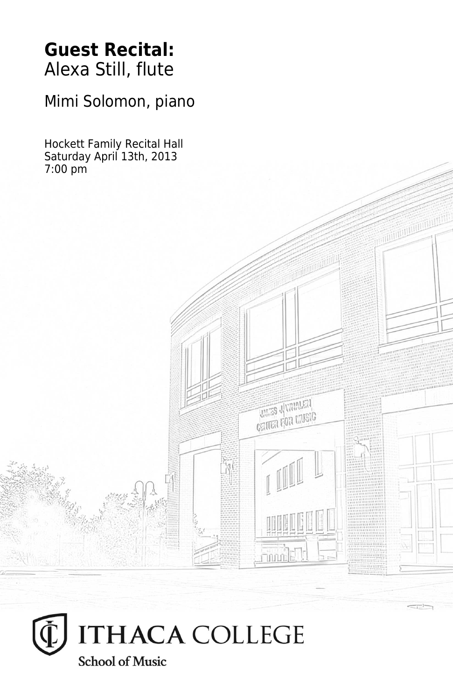# **Guest Recital:** Alexa Still, flute

Mimi Solomon, piano

Hockett Family Recital Hall Saturday April 13th, 2013 7:00 pm



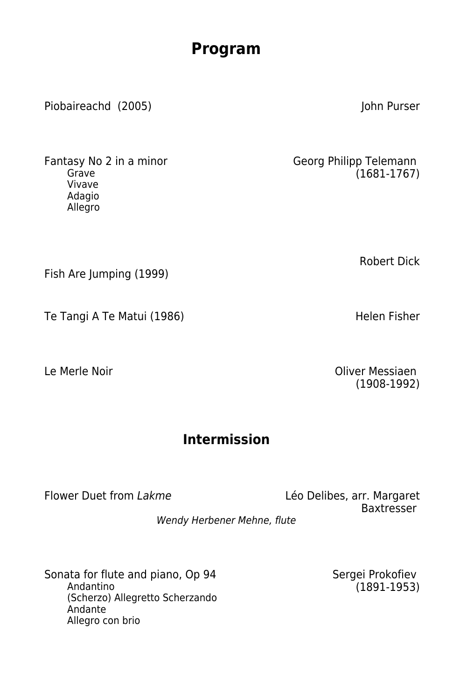# **Program**

Piobaireachd (2005) John Purser

Vivave Adagio Allegro

Fish Are Jumping (1999)

Te Tangi A Te Matui (1986) Helen Fisher

Fantasy No 2 in a minor<br>
Grave (1681-1767)  $(1681-1767)$ 

Robert Dick

Le Merle Noir Oliver Messiaen (1908-1992)

## **Intermission**

Flower Duet from Lakme Leo Delibes, arr. Margaret Baxtresser

Wendy Herbener Mehne, flute

Sonata for flute and piano, Op 94 Sergei Prokofiev<br>Andantino (1891-1953) (Scherzo) Allegretto Scherzando Andante Allegro con brio

 $(1891 - 1953)$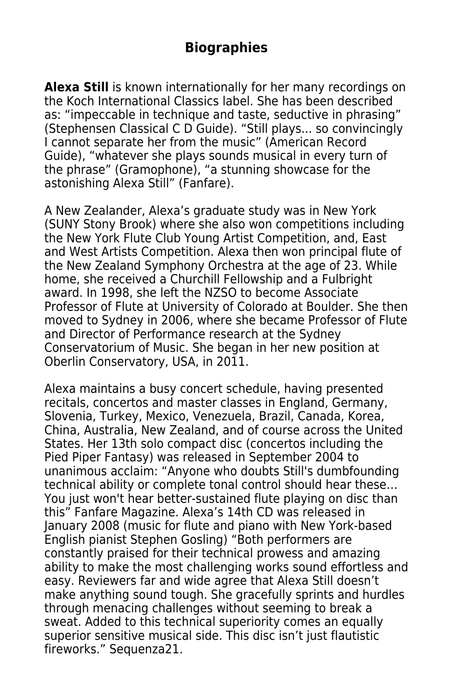### **Biographies**

**Alexa Still** is known internationally for her many recordings on the Koch International Classics label. She has been described as: "impeccable in technique and taste, seductive in phrasing" (Stephensen Classical C D Guide). "Still plays... so convincingly I cannot separate her from the music" (American Record Guide), "whatever she plays sounds musical in every turn of the phrase" (Gramophone), "a stunning showcase for the astonishing Alexa Still" (Fanfare).

A New Zealander, Alexa's graduate study was in New York (SUNY Stony Brook) where she also won competitions including the New York Flute Club Young Artist Competition, and, East and West Artists Competition. Alexa then won principal flute of the New Zealand Symphony Orchestra at the age of 23. While home, she received a Churchill Fellowship and a Fulbright award. In 1998, she left the NZSO to become Associate Professor of Flute at University of Colorado at Boulder. She then moved to Sydney in 2006, where she became Professor of Flute and Director of Performance research at the Sydney Conservatorium of Music. She began in her new position at Oberlin Conservatory, USA, in 2011.

Alexa maintains a busy concert schedule, having presented recitals, concertos and master classes in England, Germany, Slovenia, Turkey, Mexico, Venezuela, Brazil, Canada, Korea, China, Australia, New Zealand, and of course across the United States. Her 13th solo compact disc (concertos including the Pied Piper Fantasy) was released in September 2004 to unanimous acclaim: "Anyone who doubts Still's dumbfounding technical ability or complete tonal control should hear these… You just won't hear better-sustained flute playing on disc than this" Fanfare Magazine. Alexa's 14th CD was released in January 2008 (music for flute and piano with New York-based English pianist Stephen Gosling) "Both performers are constantly praised for their technical prowess and amazing ability to make the most challenging works sound effortless and easy. Reviewers far and wide agree that Alexa Still doesn't make anything sound tough. She gracefully sprints and hurdles through menacing challenges without seeming to break a sweat. Added to this technical superiority comes an equally superior sensitive musical side. This disc isn't just flautistic fireworks." Sequenza21.